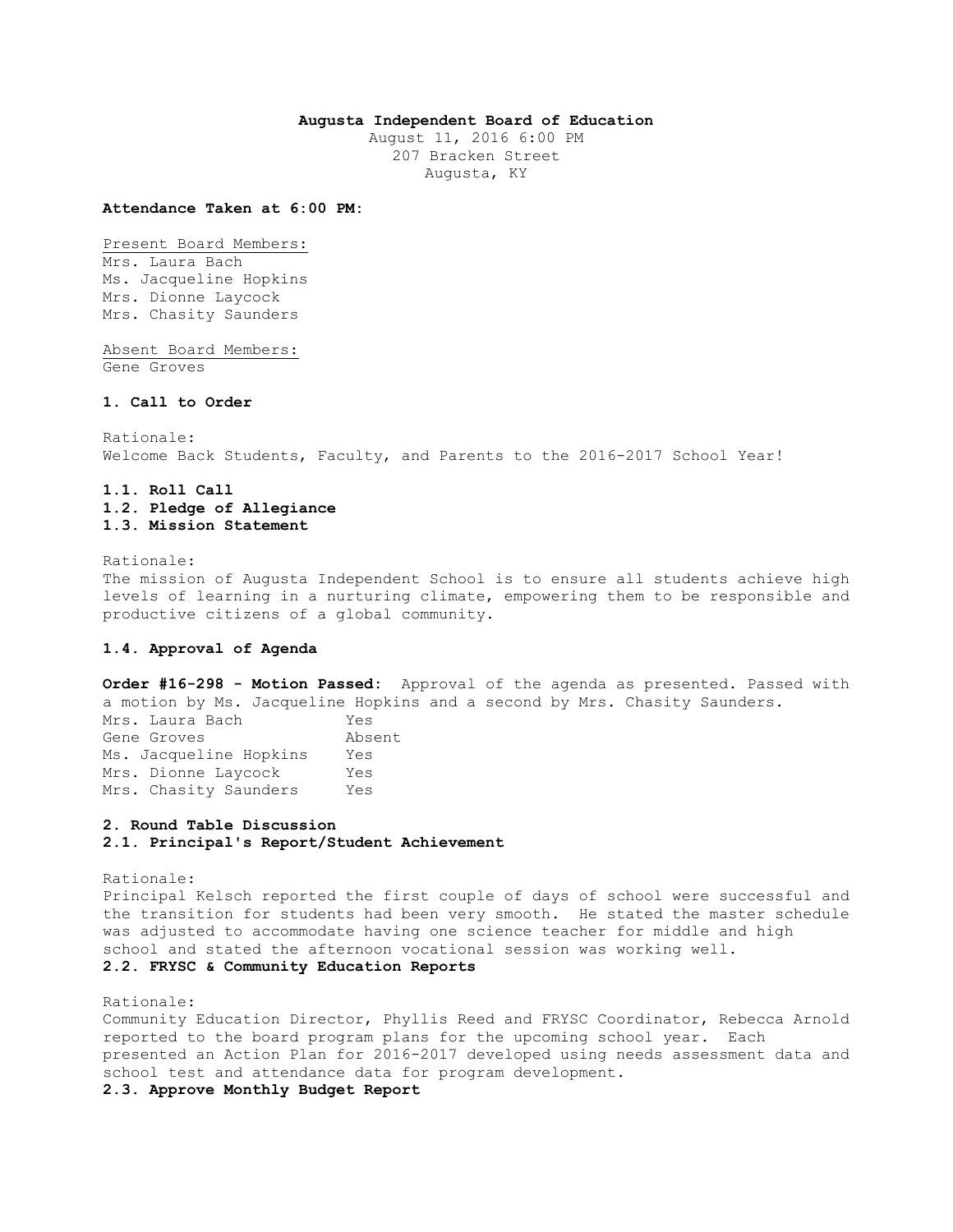### **Augusta Independent Board of Education**

August 11, 2016 6:00 PM 207 Bracken Street Augusta, KY

#### **Attendance Taken at 6:00 PM:**

Present Board Members: Mrs. Laura Bach Ms. Jacqueline Hopkins Mrs. Dionne Laycock Mrs. Chasity Saunders

Absent Board Members: Gene Groves

### **1. Call to Order**

Rationale: Welcome Back Students, Faculty, and Parents to the 2016-2017 School Year!

# **1.1. Roll Call 1.2. Pledge of Allegiance 1.3. Mission Statement**

Rationale:

The mission of Augusta Independent School is to ensure all students achieve high levels of learning in a nurturing climate, empowering them to be responsible and productive citizens of a global community.

# **1.4. Approval of Agenda**

**Order #16-298 - Motion Passed:** Approval of the agenda as presented. Passed with a motion by Ms. Jacqueline Hopkins and a second by Mrs. Chasity Saunders.

| Mrs. Laura Bach        | Yes    |
|------------------------|--------|
| Gene Groves            | Absent |
| Ms. Jacqueline Hopkins | Yes    |
| Mrs. Dionne Laycock    | Yes    |
| Mrs. Chasity Saunders  | Yes    |

# **2. Round Table Discussion**

**2.1. Principal's Report/Student Achievement** 

Rationale: Principal Kelsch reported the first couple of days of school were successful and the transition for students had been very smooth. He stated the master schedule was adjusted to accommodate having one science teacher for middle and high school and stated the afternoon vocational session was working well. **2.2. FRYSC & Community Education Reports** 

#### Rationale:

Community Education Director, Phyllis Reed and FRYSC Coordinator, Rebecca Arnold reported to the board program plans for the upcoming school year. Each presented an Action Plan for 2016-2017 developed using needs assessment data and school test and attendance data for program development.

### **2.3. Approve Monthly Budget Report**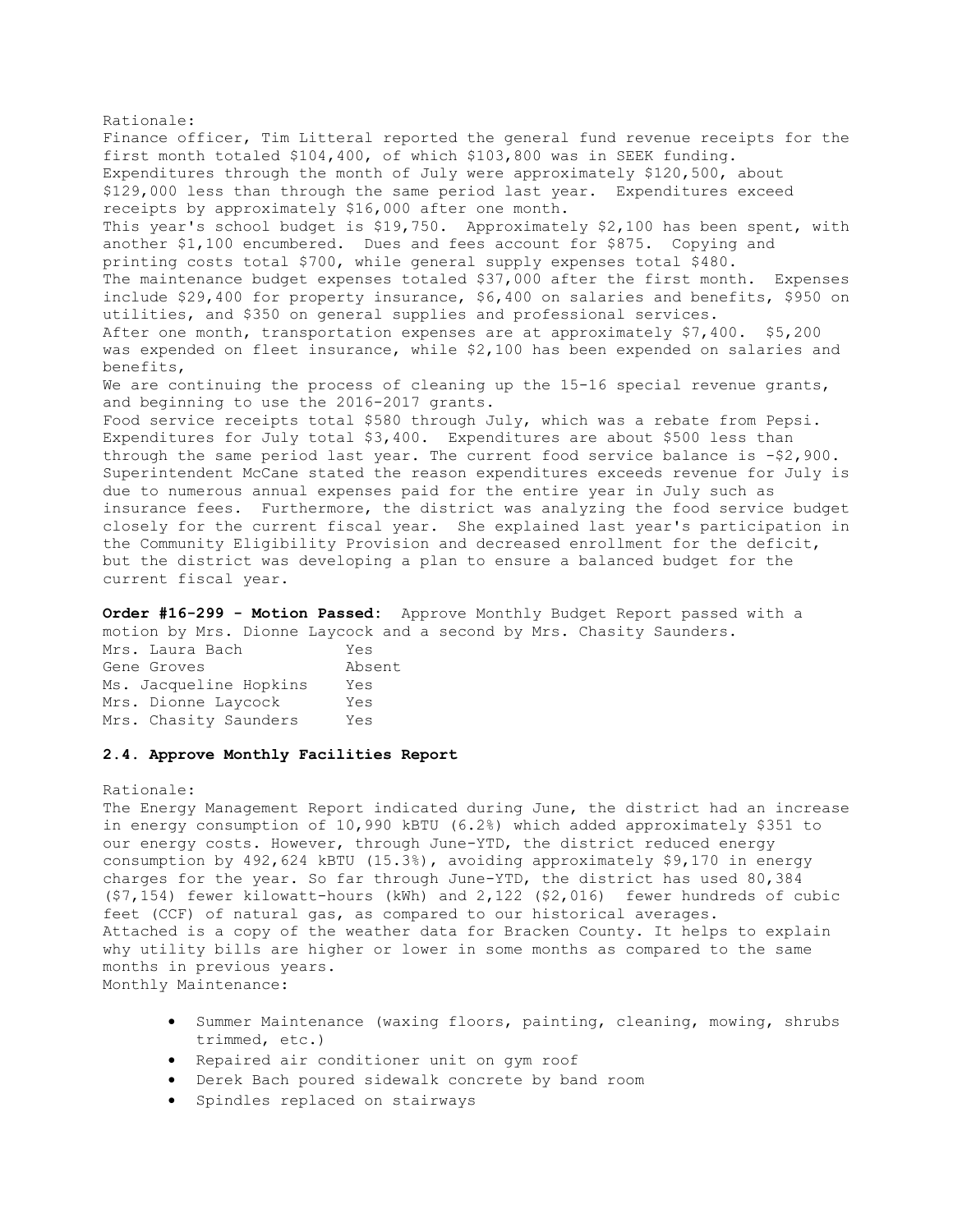Rationale: Finance officer, Tim Litteral reported the general fund revenue receipts for the first month totaled \$104,400, of which \$103,800 was in SEEK funding. Expenditures through the month of July were approximately \$120,500, about \$129,000 less than through the same period last year. Expenditures exceed receipts by approximately \$16,000 after one month. This year's school budget is \$19,750. Approximately \$2,100 has been spent, with another \$1,100 encumbered. Dues and fees account for \$875. Copying and printing costs total \$700, while general supply expenses total \$480. The maintenance budget expenses totaled \$37,000 after the first month. Expenses include \$29,400 for property insurance, \$6,400 on salaries and benefits, \$950 on utilities, and \$350 on general supplies and professional services. After one month, transportation expenses are at approximately \$7,400. \$5,200 was expended on fleet insurance, while \$2,100 has been expended on salaries and benefits, We are continuing the process of cleaning up the 15-16 special revenue grants, and beginning to use the 2016-2017 grants. Food service receipts total \$580 through July, which was a rebate from Pepsi. Expenditures for July total \$3,400. Expenditures are about \$500 less than through the same period last year. The current food service balance is  $- $2,900$ . Superintendent McCane stated the reason expenditures exceeds revenue for July is due to numerous annual expenses paid for the entire year in July such as insurance fees. Furthermore, the district was analyzing the food service budget closely for the current fiscal year. She explained last year's participation in the Community Eligibility Provision and decreased enrollment for the deficit, but the district was developing a plan to ensure a balanced budget for the current fiscal year.

**Order #16-299 - Motion Passed:** Approve Monthly Budget Report passed with a motion by Mrs. Dionne Laycock and a second by Mrs. Chasity Saunders.

| Mrs. Laura Bach        | Yes    |
|------------------------|--------|
| Gene Groves            | Absent |
| Ms. Jacqueline Hopkins | Yes    |
| Mrs. Dionne Laycock    | Yes    |
| Mrs. Chasity Saunders  | Yes    |

# **2.4. Approve Monthly Facilities Report**

#### Rationale:

The Energy Management Report indicated during June, the district had an increase in energy consumption of 10,990 kBTU (6.2%) which added approximately \$351 to our energy costs. However, through June-YTD, the district reduced energy consumption by 492,624 kBTU (15.3%), avoiding approximately \$9,170 in energy charges for the year. So far through June-YTD, the district has used 80,384 (\$7,154) fewer kilowatt-hours (kWh) and 2,122 (\$2,016) fewer hundreds of cubic feet (CCF) of natural gas, as compared to our historical averages. Attached is a copy of the weather data for Bracken County. It helps to explain why utility bills are higher or lower in some months as compared to the same months in previous years. Monthly Maintenance:

- Summer Maintenance (waxing floors, painting, cleaning, mowing, shrubs trimmed, etc.)
- Repaired air conditioner unit on gym roof
- Derek Bach poured sidewalk concrete by band room
- Spindles replaced on stairways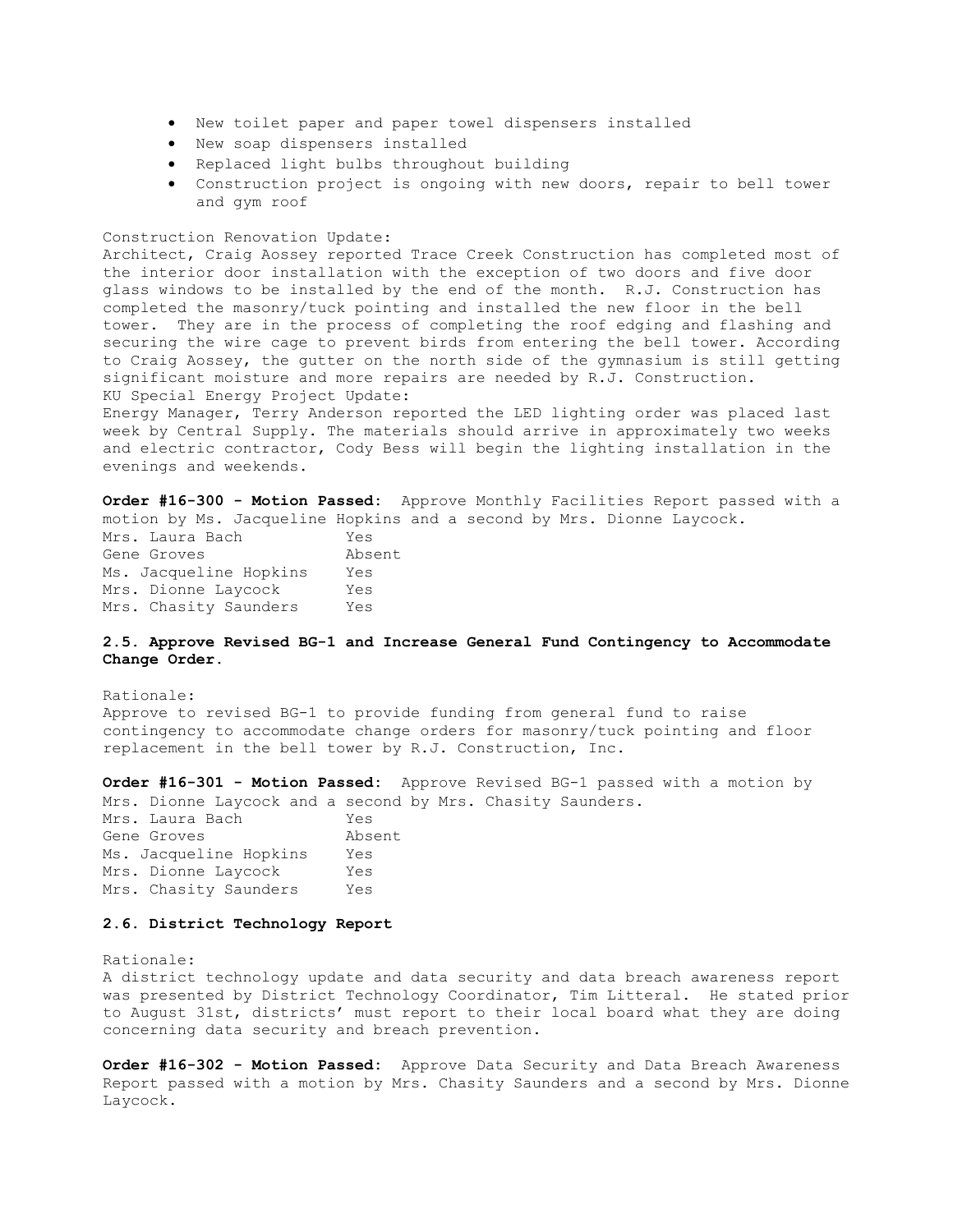- New toilet paper and paper towel dispensers installed
- New soap dispensers installed
- Replaced light bulbs throughout building
- Construction project is ongoing with new doors, repair to bell tower and gym roof

#### Construction Renovation Update:

Architect, Craig Aossey reported Trace Creek Construction has completed most of the interior door installation with the exception of two doors and five door glass windows to be installed by the end of the month. R.J. Construction has completed the masonry/tuck pointing and installed the new floor in the bell tower. They are in the process of completing the roof edging and flashing and securing the wire cage to prevent birds from entering the bell tower. According to Craig Aossey, the gutter on the north side of the gymnasium is still getting significant moisture and more repairs are needed by R.J. Construction. KU Special Energy Project Update:

Energy Manager, Terry Anderson reported the LED lighting order was placed last week by Central Supply. The materials should arrive in approximately two weeks and electric contractor, Cody Bess will begin the lighting installation in the evenings and weekends.

**Order #16-300 - Motion Passed:** Approve Monthly Facilities Report passed with a motion by Ms. Jacqueline Hopkins and a second by Mrs. Dionne Laycock. Mrs. Laura Bach Yes

Gene Groves Absent Ms. Jacqueline Hopkins Yes Mrs. Dionne Laycock Yes Mrs. Chasity Saunders Yes

# **2.5. Approve Revised BG-1 and Increase General Fund Contingency to Accommodate Change Order.**

Rationale: Approve to revised BG-1 to provide funding from general fund to raise contingency to accommodate change orders for masonry/tuck pointing and floor replacement in the bell tower by R.J. Construction, Inc.

**Order #16-301 - Motion Passed:** Approve Revised BG-1 passed with a motion by Mrs. Dionne Laycock and a second by Mrs. Chasity Saunders.

Mrs. Laura Bach Yes Gene Groves Absent Ms. Jacqueline Hopkins Yes Mrs. Dionne Laycock Yes Mrs. Chasity Saunders Yes

### **2.6. District Technology Report**

#### Rationale:

A district technology update and data security and data breach awareness report was presented by District Technology Coordinator, Tim Litteral. He stated prior to August 31st, districts' must report to their local board what they are doing concerning data security and breach prevention.

**Order #16-302 - Motion Passed:** Approve Data Security and Data Breach Awareness Report passed with a motion by Mrs. Chasity Saunders and a second by Mrs. Dionne Laycock.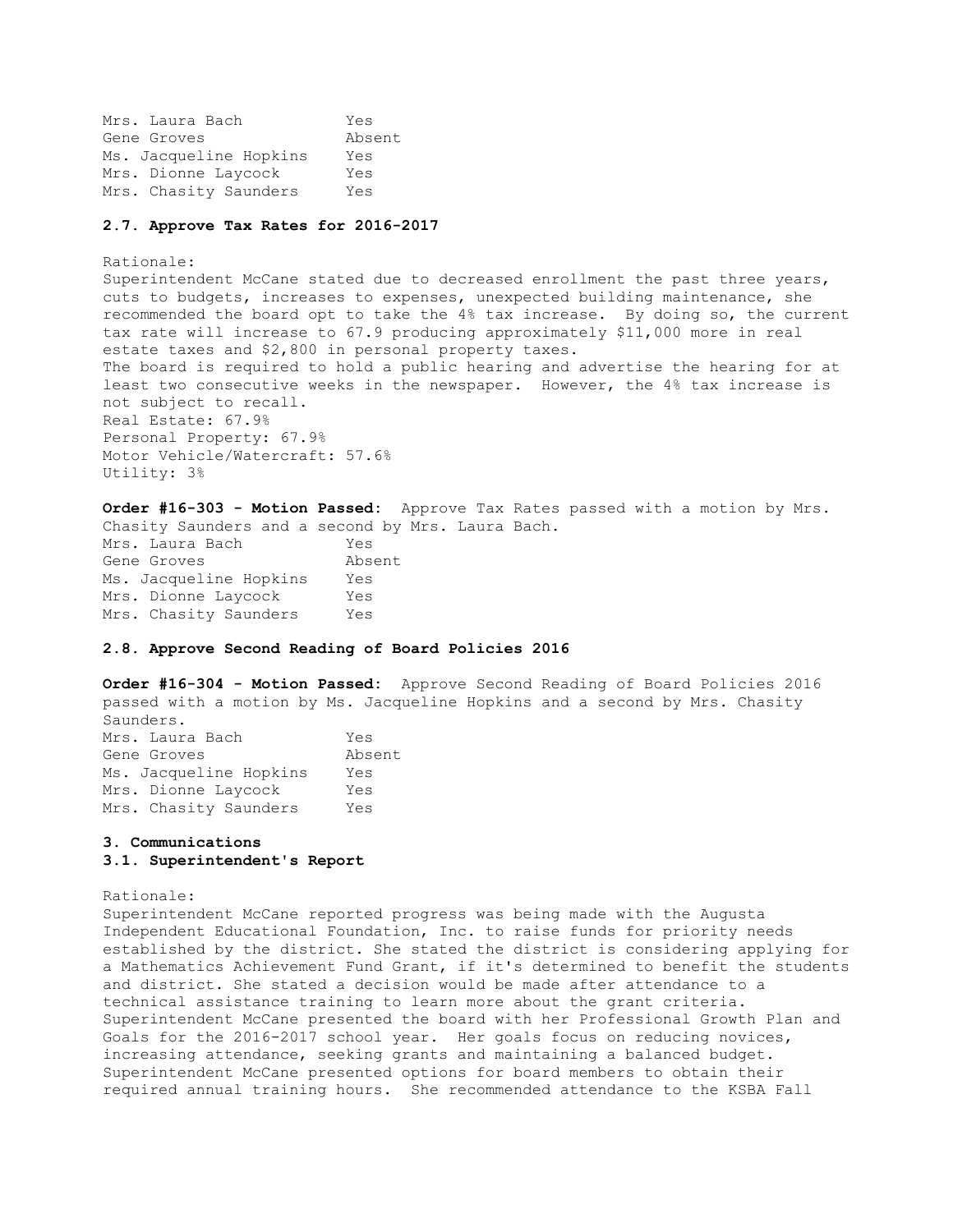Mrs. Laura Bach Yes Gene Groves Absent Ms. Jacqueline Hopkins Yes Mrs. Dionne Laycock Yes Mrs. Chasity Saunders Yes

#### **2.7. Approve Tax Rates for 2016-2017**

Rationale: Superintendent McCane stated due to decreased enrollment the past three years, cuts to budgets, increases to expenses, unexpected building maintenance, she recommended the board opt to take the 4% tax increase. By doing so, the current tax rate will increase to 67.9 producing approximately \$11,000 more in real estate taxes and \$2,800 in personal property taxes. The board is required to hold a public hearing and advertise the hearing for at least two consecutive weeks in the newspaper. However, the 4% tax increase is not subject to recall. Real Estate: 67.9% Personal Property: 67.9% Motor Vehicle/Watercraft: 57.6% Utility: 3%

**Order #16-303 - Motion Passed:** Approve Tax Rates passed with a motion by Mrs. Chasity Saunders and a second by Mrs. Laura Bach. Mrs. Laura Bach Yes Gene Groves Absent Ms. Jacqueline Hopkins Yes Mrs. Dionne Laycock Yes Mrs. Chasity Saunders Yes

# **2.8. Approve Second Reading of Board Policies 2016**

**Order #16-304 - Motion Passed:** Approve Second Reading of Board Policies 2016 passed with a motion by Ms. Jacqueline Hopkins and a second by Mrs. Chasity Saunders.

| Mrs. Laura Bach        | Yes    |
|------------------------|--------|
| Gene Groves            | Absent |
| Ms. Jacqueline Hopkins | Yes    |
| Mrs. Dionne Laycock    | Yes    |
| Mrs. Chasity Saunders  | Yes    |

# **3. Communications 3.1. Superintendent's Report**

### Rationale:

Superintendent McCane reported progress was being made with the Augusta Independent Educational Foundation, Inc. to raise funds for priority needs established by the district. She stated the district is considering applying for a Mathematics Achievement Fund Grant, if it's determined to benefit the students and district. She stated a decision would be made after attendance to a technical assistance training to learn more about the grant criteria. Superintendent McCane presented the board with her Professional Growth Plan and Goals for the 2016-2017 school year. Her goals focus on reducing novices, increasing attendance, seeking grants and maintaining a balanced budget. Superintendent McCane presented options for board members to obtain their required annual training hours. She recommended attendance to the KSBA Fall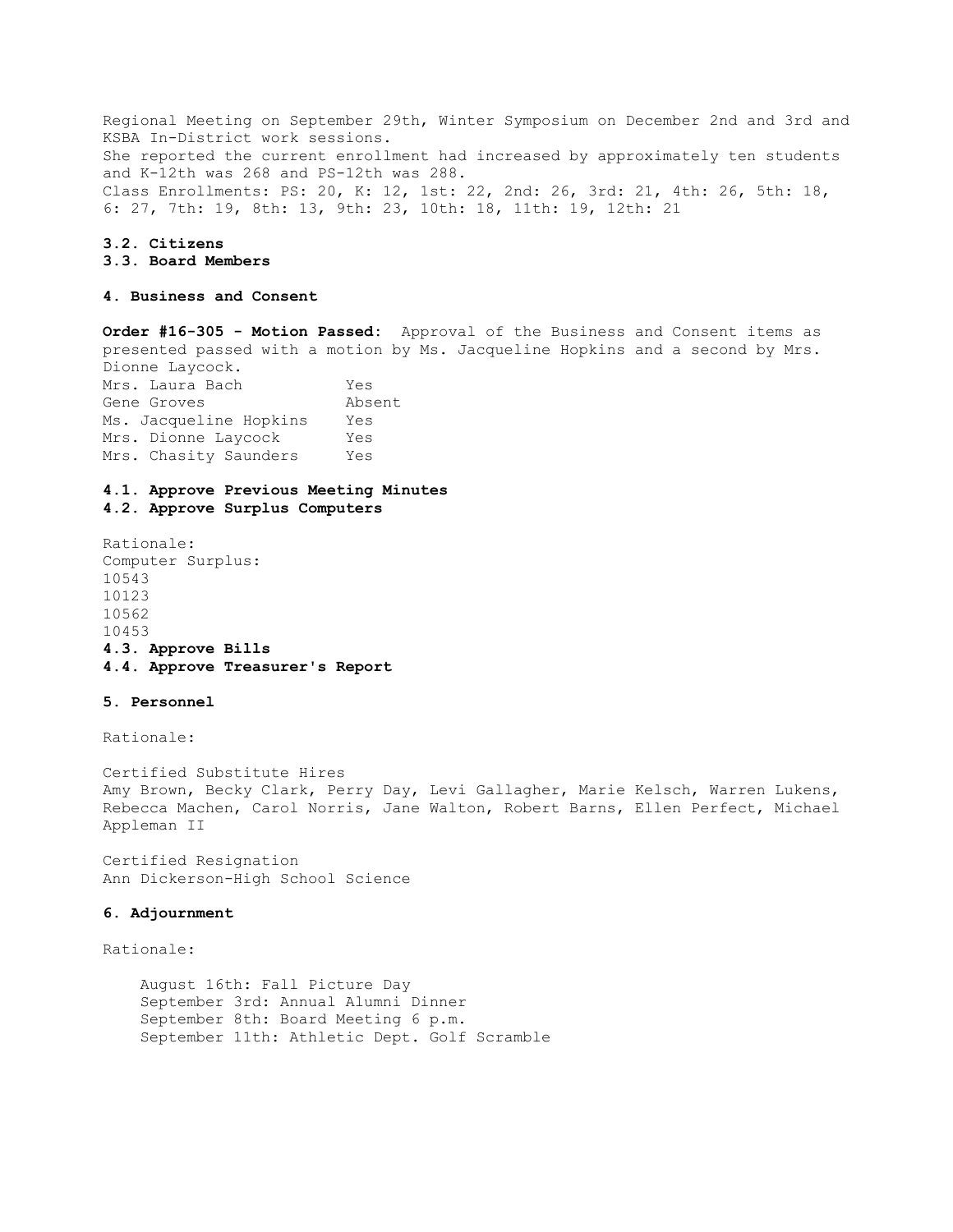Regional Meeting on September 29th, Winter Symposium on December 2nd and 3rd and KSBA In-District work sessions. She reported the current enrollment had increased by approximately ten students and K-12th was 268 and PS-12th was 288. Class Enrollments: PS: 20, K: 12, 1st: 22, 2nd: 26, 3rd: 21, 4th: 26, 5th: 18, 6: 27, 7th: 19, 8th: 13, 9th: 23, 10th: 18, 11th: 19, 12th: 21

#### **3.2. Citizens**

# **3.3. Board Members**

### **4. Business and Consent**

**Order #16-305 - Motion Passed:** Approval of the Business and Consent items as presented passed with a motion by Ms. Jacqueline Hopkins and a second by Mrs. Dionne Laycock. Mrs. Laura Bach Yes Gene Groves Absent Ms. Jacqueline Hopkins Yes Mrs. Dionne Laycock Yes

# **4.1. Approve Previous Meeting Minutes 4.2. Approve Surplus Computers**

Rationale: Computer Surplus: 10543 10123 10562 10453 **4.3. Approve Bills 4.4. Approve Treasurer's Report** 

Mrs. Chasity Saunders Yes

### **5. Personnel**

Rationale:

Certified Substitute Hires Amy Brown, Becky Clark, Perry Day, Levi Gallagher, Marie Kelsch, Warren Lukens, Rebecca Machen, Carol Norris, Jane Walton, Robert Barns, Ellen Perfect, Michael Appleman II

Certified Resignation Ann Dickerson-High School Science

#### **6. Adjournment**

Rationale:

 August 16th: Fall Picture Day September 3rd: Annual Alumni Dinner September 8th: Board Meeting 6 p.m. September 11th: Athletic Dept. Golf Scramble